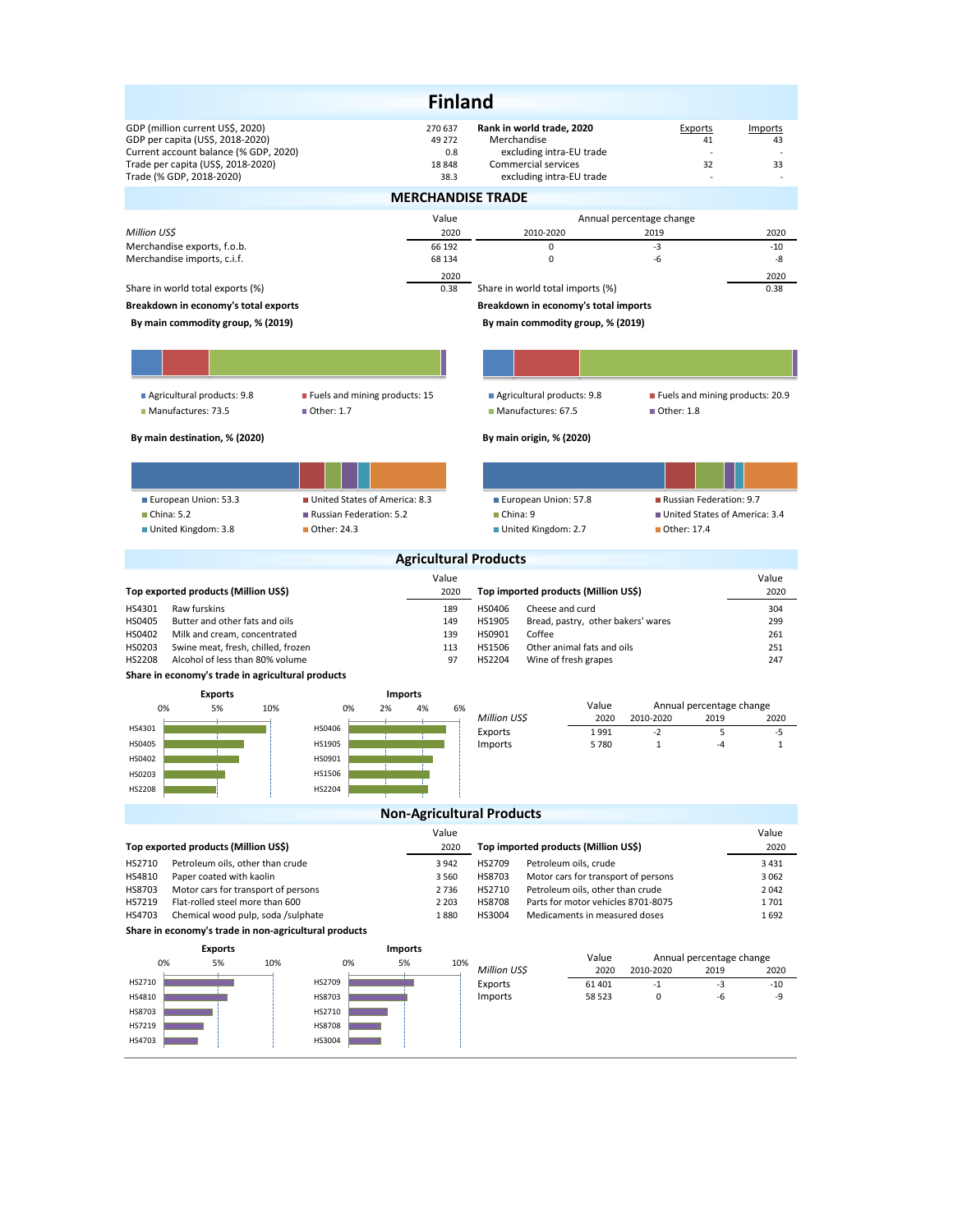|                                                                                                                                                     |                                 | <b>Finland</b>                     |                                                                                             |                                               |                     |  |  |  |  |  |
|-----------------------------------------------------------------------------------------------------------------------------------------------------|---------------------------------|------------------------------------|---------------------------------------------------------------------------------------------|-----------------------------------------------|---------------------|--|--|--|--|--|
| GDP (million current US\$, 2020)<br>GDP per capita (US\$, 2018-2020)<br>Current account balance (% GDP, 2020)<br>Trade per capita (US\$, 2018-2020) |                                 | 270 637<br>49 272<br>0.8<br>18 848 | Rank in world trade, 2020<br>Merchandise<br>excluding intra-EU trade<br>Commercial services | Exports<br>41<br>32                           | Imports<br>43<br>33 |  |  |  |  |  |
| Trade (% GDP, 2018-2020)                                                                                                                            |                                 | 38.3                               | excluding intra-EU trade                                                                    |                                               |                     |  |  |  |  |  |
| <b>MERCHANDISE TRADE</b>                                                                                                                            |                                 |                                    |                                                                                             |                                               |                     |  |  |  |  |  |
|                                                                                                                                                     |                                 | Value                              |                                                                                             | Annual percentage change                      |                     |  |  |  |  |  |
| Million US\$                                                                                                                                        |                                 | 2020                               | 2010-2020                                                                                   | 2019                                          | 2020                |  |  |  |  |  |
| Merchandise exports, f.o.b.                                                                                                                         |                                 | 66 192                             | 0                                                                                           | $-3$                                          | $-10$               |  |  |  |  |  |
| Merchandise imports, c.i.f.                                                                                                                         |                                 | 68 134                             | 0                                                                                           | -6                                            | -8                  |  |  |  |  |  |
| Share in world total exports (%)                                                                                                                    |                                 | 2020<br>0.38                       | Share in world total imports (%)                                                            |                                               | 2020<br>0.38        |  |  |  |  |  |
| Breakdown in economy's total exports                                                                                                                |                                 |                                    | Breakdown in economy's total imports                                                        |                                               |                     |  |  |  |  |  |
| By main commodity group, % (2019)                                                                                                                   |                                 |                                    | By main commodity group, % (2019)                                                           |                                               |                     |  |  |  |  |  |
|                                                                                                                                                     |                                 |                                    |                                                                                             |                                               |                     |  |  |  |  |  |
|                                                                                                                                                     |                                 |                                    |                                                                                             |                                               |                     |  |  |  |  |  |
| Agricultural products: 9.8                                                                                                                          | ■ Fuels and mining products: 15 |                                    | Agricultural products: 9.8                                                                  | Fuels and mining products: 20.9               |                     |  |  |  |  |  |
| Manufactures: 73.5                                                                                                                                  | ■ Other: 1.7                    |                                    | Manufactures: 67.5                                                                          | ■ Other: 1.8                                  |                     |  |  |  |  |  |
|                                                                                                                                                     |                                 |                                    |                                                                                             |                                               |                     |  |  |  |  |  |
| By main destination, % (2020)                                                                                                                       |                                 |                                    | By main origin, % (2020)                                                                    |                                               |                     |  |  |  |  |  |
|                                                                                                                                                     |                                 |                                    |                                                                                             |                                               |                     |  |  |  |  |  |
| European Union: 53.3                                                                                                                                | United States of America: 8.3   |                                    | European Union: 57.8                                                                        | Russian Federation: 9.7                       |                     |  |  |  |  |  |
| China: 5.2                                                                                                                                          | Russian Federation: 5.2         |                                    | China: 9                                                                                    | United States of America: 3.4                 |                     |  |  |  |  |  |
| United Kingdom: 3.8                                                                                                                                 | ■ Other: 24.3                   |                                    | United Kingdom: 2.7                                                                         | ■ Other: 17.4                                 |                     |  |  |  |  |  |
|                                                                                                                                                     |                                 |                                    | <b>Agricultural Products</b>                                                                |                                               |                     |  |  |  |  |  |
|                                                                                                                                                     |                                 | Value                              |                                                                                             |                                               | Value               |  |  |  |  |  |
| Top exported products (Million US\$)                                                                                                                |                                 | 2020                               | Top imported products (Million US\$)                                                        |                                               | 2020                |  |  |  |  |  |
| HS4301<br>Raw furskins                                                                                                                              |                                 | 189                                | HS0406<br>Cheese and curd                                                                   |                                               | 304                 |  |  |  |  |  |
| HS0405<br>Butter and other fats and oils                                                                                                            |                                 | 149                                | Bread, pastry, other bakers' wares<br>HS1905                                                |                                               | 299                 |  |  |  |  |  |
| HS0402<br>Milk and cream, concentrated<br>HS0203<br>Swine meat, fresh, chilled, frozen                                                              |                                 | 139<br>113                         | Coffee<br>HS0901<br>Other animal fats and oils<br>HS1506                                    |                                               | 261<br>251          |  |  |  |  |  |
| HS2208<br>Alcohol of less than 80% volume                                                                                                           |                                 | 97                                 | HS2204<br>Wine of fresh grapes                                                              |                                               | 247                 |  |  |  |  |  |
| Share in economy's trade in agricultural products                                                                                                   |                                 |                                    |                                                                                             |                                               |                     |  |  |  |  |  |
| <b>Exports</b>                                                                                                                                      | <b>Imports</b>                  |                                    |                                                                                             |                                               |                     |  |  |  |  |  |
| 0%<br>5%<br>10%                                                                                                                                     | 0%<br>2%                        | 4%<br>6%                           | Value<br>Million US\$<br>2020                                                               | Annual percentage change<br>2010-2020<br>2019 | 2020                |  |  |  |  |  |
| HS4301                                                                                                                                              | HS0406                          |                                    | Exports<br>1991                                                                             | $-2$<br>5                                     | -5                  |  |  |  |  |  |
| HS0405                                                                                                                                              | HS1905                          |                                    | Imports<br>5780                                                                             | $\mathbf{1}$<br>$-4$                          | $\mathbf{1}$        |  |  |  |  |  |
| HS0402                                                                                                                                              | HS0901                          |                                    |                                                                                             |                                               |                     |  |  |  |  |  |
| HS0203                                                                                                                                              | HS1506                          |                                    |                                                                                             |                                               |                     |  |  |  |  |  |
| HS2208                                                                                                                                              | HS2204                          |                                    |                                                                                             |                                               |                     |  |  |  |  |  |
|                                                                                                                                                     |                                 |                                    | <b>Non-Agricultural Products</b>                                                            |                                               |                     |  |  |  |  |  |
|                                                                                                                                                     |                                 | Value                              |                                                                                             |                                               | Value               |  |  |  |  |  |
| Top exported products (Million US\$)                                                                                                                |                                 | 2020                               | Top imported products (Million US\$)                                                        |                                               | 2020                |  |  |  |  |  |
| HS2710<br>Petroleum oils, other than crude                                                                                                          |                                 | 3 9 4 2                            | HS2709<br>Petroleum oils, crude                                                             |                                               | 3 4 3 1             |  |  |  |  |  |
| HS4810<br>Paper coated with kaolin<br>HS8703<br>Motor cars for transport of persons                                                                 |                                 | 3 5 6 0<br>2736                    | HS8703<br>Motor cars for transport of persons<br>HS2710<br>Petroleum oils, other than crude |                                               | 3 0 6 2<br>2042     |  |  |  |  |  |
| HS7219<br>Flat-rolled steel more than 600                                                                                                           |                                 | 2 2 0 3                            | <b>HS8708</b><br>Parts for motor vehicles 8701-8075                                         |                                               | 1701                |  |  |  |  |  |
| HS4703<br>Chemical wood pulp, soda /sulphate                                                                                                        |                                 | 1880                               | HS3004<br>Medicaments in measured doses                                                     |                                               | 1692                |  |  |  |  |  |
| Share in economy's trade in non-agricultural products                                                                                               |                                 |                                    |                                                                                             |                                               |                     |  |  |  |  |  |
| <b>Exports</b><br>0%<br>10%                                                                                                                         | <b>Imports</b><br>5%<br>0%      | 10%                                | Value                                                                                       | Annual percentage change                      |                     |  |  |  |  |  |
| 5%                                                                                                                                                  |                                 |                                    | Million US\$<br>2020                                                                        | 2010-2020<br>2019                             | 2020                |  |  |  |  |  |
| HS2710<br>HS4810                                                                                                                                    | HS2709<br>HS8703                |                                    | Exports<br>61 401<br>Imports<br>58 523                                                      | $-1$<br>-3<br>-6<br>0                         | $-10$<br>-9         |  |  |  |  |  |
| HS8703                                                                                                                                              | HS2710                          |                                    |                                                                                             |                                               |                     |  |  |  |  |  |
| HS7219                                                                                                                                              | <b>HS8708</b>                   |                                    |                                                                                             |                                               |                     |  |  |  |  |  |
| HS4703                                                                                                                                              | HS3004                          |                                    |                                                                                             |                                               |                     |  |  |  |  |  |
|                                                                                                                                                     |                                 |                                    |                                                                                             |                                               |                     |  |  |  |  |  |
|                                                                                                                                                     |                                 |                                    |                                                                                             |                                               |                     |  |  |  |  |  |